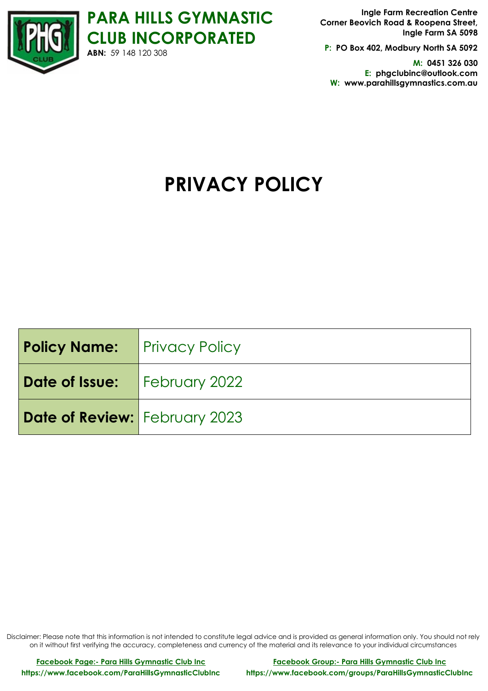

**P: PO Box 402, Modbury North SA 5092**

**M: 0451 326 030 E: phgclubinc@outlook.com W: www.parahillsgymnastics.com.au**

# **PRIVACY POLICY**

| <b>Policy Name:</b> Privacy Policy |  |
|------------------------------------|--|
| Date of Issue:   February 2022     |  |
| Date of Review: February 2023      |  |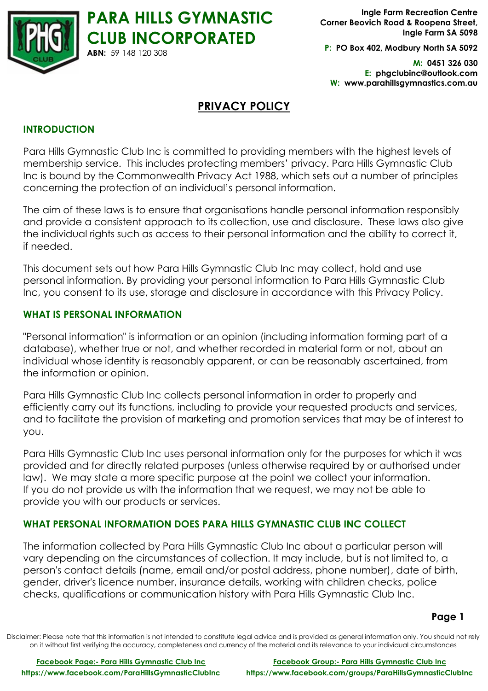

**P: PO Box 402, Modbury North SA 5092**

**M: 0451 326 030 E: phgclubinc@outlook.com W: www.parahillsgymnastics.com.au**

# **PRIVACY POLICY**

**PARA HILLS GYMNASTIC** 

**ABN:** 59 148 120 308

# **INTRODUCTION**

Para Hills Gymnastic Club Inc is committed to providing members with the highest levels of membership service. This includes protecting members' privacy. Para Hills Gymnastic Club Inc is bound by the Commonwealth Privacy Act 1988, which sets out a number of principles concerning the protection of an individual's personal information.

The aim of these laws is to ensure that organisations handle personal information responsibly and provide a consistent approach to its collection, use and disclosure. These laws also give the individual rights such as access to their personal information and the ability to correct it, if needed.

This document sets out how Para Hills Gymnastic Club Inc may collect, hold and use personal information. By providing your personal information to Para Hills Gymnastic Club Inc, you consent to its use, storage and disclosure in accordance with this Privacy Policy.

## **WHAT IS PERSONAL INFORMATION**

"Personal information" is information or an opinion (including information forming part of a database), whether true or not, and whether recorded in material form or not, about an individual whose identity is reasonably apparent, or can be reasonably ascertained, from the information or opinion.

Para Hills Gymnastic Club Inc collects personal information in order to properly and efficiently carry out its functions, including to provide your requested products and services, and to facilitate the provision of marketing and promotion services that may be of interest to you.

Para Hills Gymnastic Club Inc uses personal information only for the purposes for which it was provided and for directly related purposes (unless otherwise required by or authorised under law). We may state a more specific purpose at the point we collect your information. If you do not provide us with the information that we request, we may not be able to provide you with our products or services.

# **WHAT PERSONAL INFORMATION DOES PARA HILLS GYMNASTIC CLUB INC COLLECT**

The information collected by Para Hills Gymnastic Club Inc about a particular person will vary depending on the circumstances of collection. It may include, but is not limited to, a person's contact details (name, email and/or postal address, phone number), date of birth, gender, driver's licence number, insurance details, working with children checks, police checks, qualifications or communication history with Para Hills Gymnastic Club Inc.

**Page 1**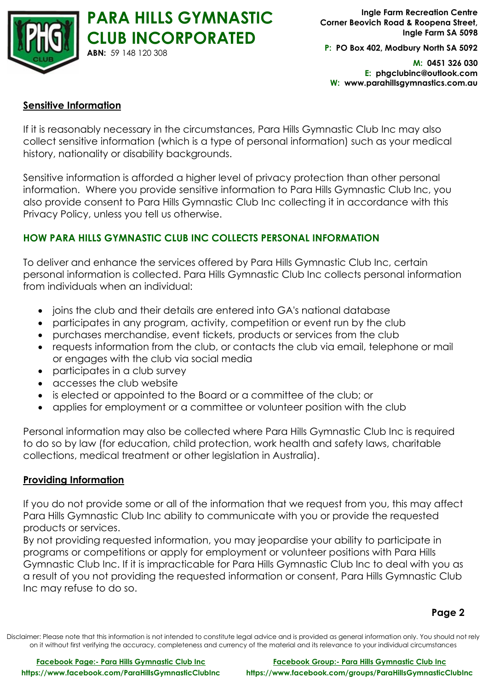

**P: PO Box 402, Modbury North SA 5092**

**M: 0451 326 030 E: phgclubinc@outlook.com W: www.parahillsgymnastics.com.au**

# **Sensitive Information**

If it is reasonably necessary in the circumstances, Para Hills Gymnastic Club Inc may also collect sensitive information (which is a type of personal information) such as your medical history, nationality or disability backgrounds.

Sensitive information is afforded a higher level of privacy protection than other personal information. Where you provide sensitive information to Para Hills Gymnastic Club Inc, you also provide consent to Para Hills Gymnastic Club Inc collecting it in accordance with this Privacy Policy, unless you tell us otherwise.

# **HOW PARA HILLS GYMNASTIC CLUB INC COLLECTS PERSONAL INFORMATION**

To deliver and enhance the services offered by Para Hills Gymnastic Club Inc, certain personal information is collected. Para Hills Gymnastic Club Inc collects personal information from individuals when an individual:

- joins the club and their details are entered into GA's national database
- participates in any program, activity, competition or event run by the club
- purchases merchandise, event tickets, products or services from the club
- requests information from the club, or contacts the club via email, telephone or mail or engages with the club via social media
- participates in a club survey
- accesses the club website
- is elected or appointed to the Board or a committee of the club; or
- applies for employment or a committee or volunteer position with the club

Personal information may also be collected where Para Hills Gymnastic Club Inc is required to do so by law (for education, child protection, work health and safety laws, charitable collections, medical treatment or other legislation in Australia).

#### **Providing Information**

If you do not provide some or all of the information that we request from you, this may affect Para Hills Gymnastic Club Inc ability to communicate with you or provide the requested products or services.

By not providing requested information, you may jeopardise your ability to participate in programs or competitions or apply for employment or volunteer positions with Para Hills Gymnastic Club Inc. If it is impracticable for Para Hills Gymnastic Club Inc to deal with you as a result of you not providing the requested information or consent, Para Hills Gymnastic Club Inc may refuse to do so.

**Page 2**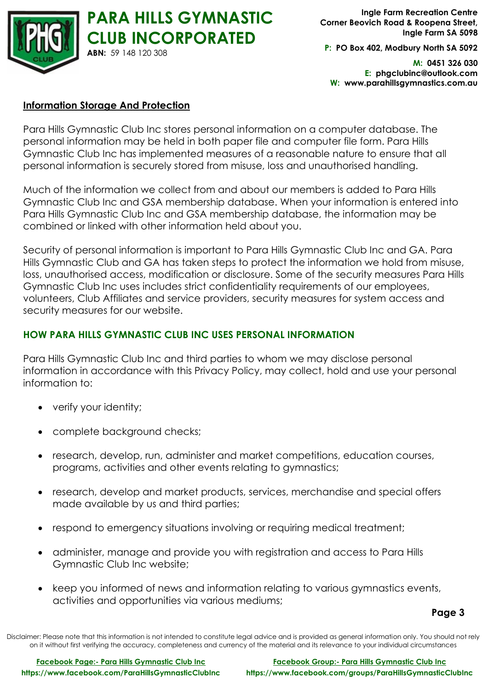

**P: PO Box 402, Modbury North SA 5092**

**M: 0451 326 030 E: phgclubinc@outlook.com W: www.parahillsgymnastics.com.au**

#### **Information Storage And Protection**

Para Hills Gymnastic Club Inc stores personal information on a computer database. The personal information may be held in both paper file and computer file form. Para Hills Gymnastic Club Inc has implemented measures of a reasonable nature to ensure that all personal information is securely stored from misuse, loss and unauthorised handling.

Much of the information we collect from and about our members is added to Para Hills Gymnastic Club Inc and GSA membership database. When your information is entered into Para Hills Gymnastic Club Inc and GSA membership database, the information may be combined or linked with other information held about you.

Security of personal information is important to Para Hills Gymnastic Club Inc and GA. Para Hills Gymnastic Club and GA has taken steps to protect the information we hold from misuse, loss, unauthorised access, modification or disclosure. Some of the security measures Para Hills Gymnastic Club Inc uses includes strict confidentiality requirements of our employees, volunteers, Club Affiliates and service providers, security measures for system access and security measures for our website.

# **HOW PARA HILLS GYMNASTIC CLUB INC USES PERSONAL INFORMATION**

Para Hills Gymnastic Club Inc and third parties to whom we may disclose personal information in accordance with this Privacy Policy, may collect, hold and use your personal information to:

- verify your identity;
- complete background checks;
- research, develop, run, administer and market competitions, education courses, programs, activities and other events relating to gymnastics;
- research, develop and market products, services, merchandise and special offers made available by us and third parties;
- respond to emergency situations involving or requiring medical treatment;
- administer, manage and provide you with registration and access to Para Hills Gymnastic Club Inc website;
- keep you informed of news and information relating to various gymnastics events, activities and opportunities via various mediums;

**Page 3**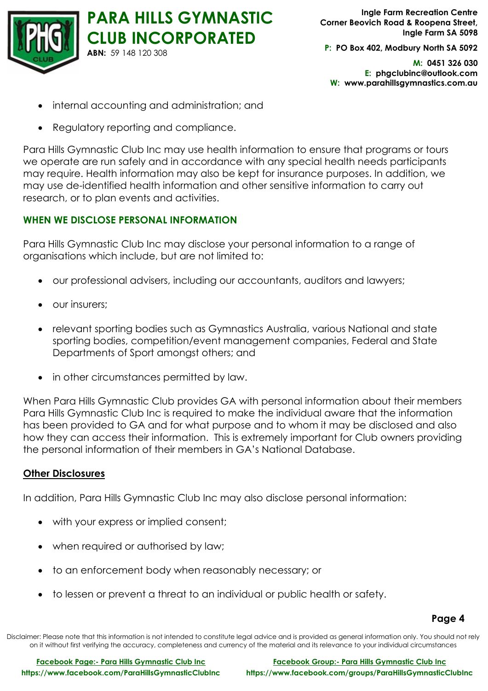

**P: PO Box 402, Modbury North SA 5092**

**M: 0451 326 030 E: phgclubinc@outlook.com W: www.parahillsgymnastics.com.au**

- internal accounting and administration; and
- Regulatory reporting and compliance.

Para Hills Gymnastic Club Inc may use health information to ensure that programs or tours we operate are run safely and in accordance with any special health needs participants may require. Health information may also be kept for insurance purposes. In addition, we may use de-identified health information and other sensitive information to carry out research, or to plan events and activities.

# **WHEN WE DISCLOSE PERSONAL INFORMATION**

Para Hills Gymnastic Club Inc may disclose your personal information to a range of organisations which include, but are not limited to:

- our professional advisers, including our accountants, auditors and lawyers;
- our insurers;
- relevant sporting bodies such as Gymnastics Australia, various National and state sporting bodies, competition/event management companies, Federal and State Departments of Sport amongst others; and
- in other circumstances permitted by law.

When Para Hills Gymnastic Club provides GA with personal information about their members Para Hills Gymnastic Club Inc is required to make the individual aware that the information has been provided to GA and for what purpose and to whom it may be disclosed and also how they can access their information. This is extremely important for Club owners providing the personal information of their members in GA's National Database.

#### **Other Disclosures**

In addition, Para Hills Gymnastic Club Inc may also disclose personal information:

- with your express or implied consent;
- when required or authorised by law;
- to an enforcement body when reasonably necessary; or
- to lessen or prevent a threat to an individual or public health or safety.

#### **Page 4**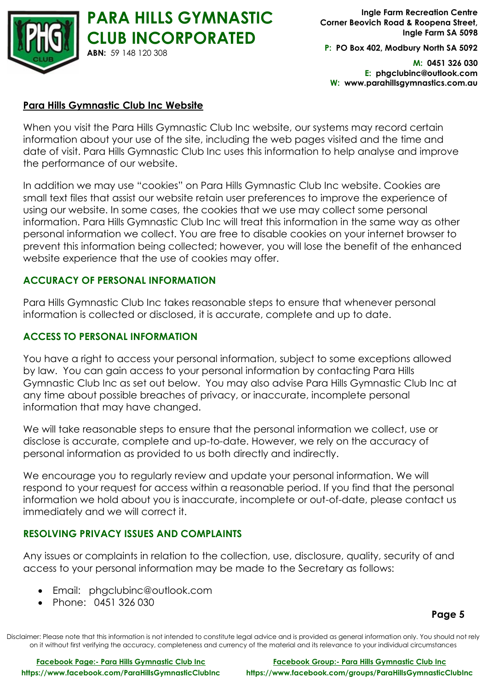

**P: PO Box 402, Modbury North SA 5092**

**M: 0451 326 030 E: phgclubinc@outlook.com W: www.parahillsgymnastics.com.au**

## **Para Hills Gymnastic Club Inc Website**

When you visit the Para Hills Gymnastic Club Inc website, our systems may record certain information about your use of the site, including the web pages visited and the time and date of visit. Para Hills Gymnastic Club Inc uses this information to help analyse and improve the performance of our website.

In addition we may use "cookies" on Para Hills Gymnastic Club Inc website. Cookies are small text files that assist our website retain user preferences to improve the experience of using our website. In some cases, the cookies that we use may collect some personal information. Para Hills Gymnastic Club Inc will treat this information in the same way as other personal information we collect. You are free to disable cookies on your internet browser to prevent this information being collected; however, you will lose the benefit of the enhanced website experience that the use of cookies may offer.

## **ACCURACY OF PERSONAL INFORMATION**

Para Hills Gymnastic Club Inc takes reasonable steps to ensure that whenever personal information is collected or disclosed, it is accurate, complete and up to date.

#### **ACCESS TO PERSONAL INFORMATION**

You have a right to access your personal information, subject to some exceptions allowed by law. You can gain access to your personal information by contacting Para Hills Gymnastic Club Inc as set out below. You may also advise Para Hills Gymnastic Club Inc at any time about possible breaches of privacy, or inaccurate, incomplete personal information that may have changed.

We will take reasonable steps to ensure that the personal information we collect, use or disclose is accurate, complete and up-to-date. However, we rely on the accuracy of personal information as provided to us both directly and indirectly.

We encourage you to regularly review and update your personal information. We will respond to your request for access within a reasonable period. If you find that the personal information we hold about you is inaccurate, incomplete or out-of-date, please contact us immediately and we will correct it.

# **RESOLVING PRIVACY ISSUES AND COMPLAINTS**

Any issues or complaints in relation to the collection, use, disclosure, quality, security of and access to your personal information may be made to the Secretary as follows:

- Email: phgclubinc@outlook.com
- Phone: 0451 326 030

#### **Page 5**